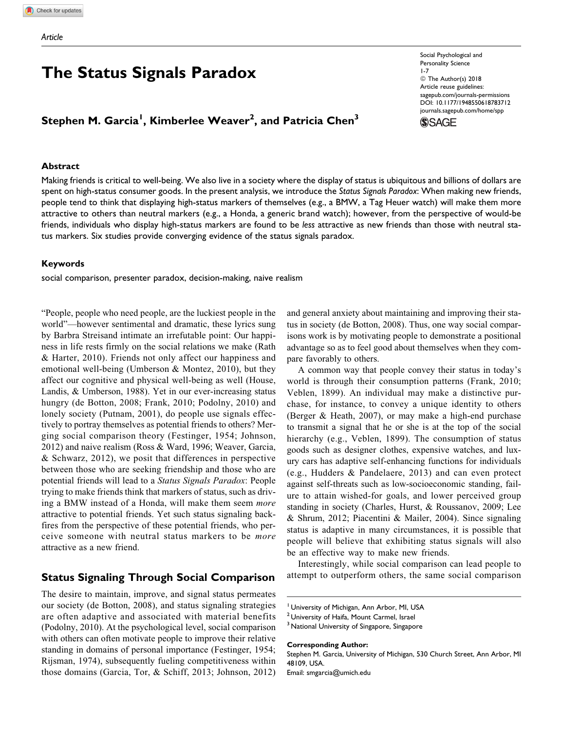# The Status Signals Paradox

# Stephen M. Garcia<sup>l</sup>, Kimberlee Weaver<sup>2</sup>, and Patricia Chen $^3$

#### Abstract

Social Psychological and Personality Science 1-7 © The Author(s) 2018 Article reuse guidelines: [sagepub.com/journals-permissions](https://sagepub.com/journals-permissions) [DOI: 10.1177/1948550618783712](https://doi.org/10.1177/1948550618783712) [journals.sagepub.com/home/spp](http://journals.sagepub.com/home/spp)

**SSAGE** 

Making friends is critical to well-being. We also live in a society where the display of status is ubiquitous and billions of dollars are spent on high-status consumer goods. In the present analysis, we introduce the Status Signals Paradox: When making new friends, people tend to think that displaying high-status markers of themselves (e.g., a BMW, a Tag Heuer watch) will make them more attractive to others than neutral markers (e.g., a Honda, a generic brand watch); however, from the perspective of would-be friends, individuals who display high-status markers are found to be less attractive as new friends than those with neutral status markers. Six studies provide converging evidence of the status signals paradox.

#### Keywords

social comparison, presenter paradox, decision-making, naive realism

"People, people who need people, are the luckiest people in the world"—however sentimental and dramatic, these lyrics sung by Barbra Streisand intimate an irrefutable point: Our happiness in life rests firmly on the social relations we make (Rath & Harter, 2010). Friends not only affect our happiness and emotional well-being (Umberson & Montez, 2010), but they affect our cognitive and physical well-being as well (House, Landis, & Umberson, 1988). Yet in our ever-increasing status hungry (de Botton, 2008; Frank, 2010; Podolny, 2010) and lonely society (Putnam, 2001), do people use signals effectively to portray themselves as potential friends to others? Merging social comparison theory (Festinger, 1954; Johnson, 2012) and naive realism (Ross & Ward, 1996; Weaver, Garcia, & Schwarz, 2012), we posit that differences in perspective between those who are seeking friendship and those who are potential friends will lead to a Status Signals Paradox: People trying to make friends think that markers of status, such as driving a BMW instead of a Honda, will make them seem more attractive to potential friends. Yet such status signaling backfires from the perspective of these potential friends, who perceive someone with neutral status markers to be more attractive as a new friend.

# Status Signaling Through Social Comparison

The desire to maintain, improve, and signal status permeates our society (de Botton, 2008), and status signaling strategies are often adaptive and associated with material benefits (Podolny, 2010). At the psychological level, social comparison with others can often motivate people to improve their relative standing in domains of personal importance (Festinger, 1954; Rijsman, 1974), subsequently fueling competitiveness within those domains (Garcia, Tor, & Schiff, 2013; Johnson, 2012) and general anxiety about maintaining and improving their status in society (de Botton, 2008). Thus, one way social comparisons work is by motivating people to demonstrate a positional advantage so as to feel good about themselves when they compare favorably to others.

A common way that people convey their status in today's world is through their consumption patterns (Frank, 2010; Veblen, 1899). An individual may make a distinctive purchase, for instance, to convey a unique identity to others (Berger & Heath, 2007), or may make a high-end purchase to transmit a signal that he or she is at the top of the social hierarchy (e.g., Veblen, 1899). The consumption of status goods such as designer clothes, expensive watches, and luxury cars has adaptive self-enhancing functions for individuals (e.g., Hudders & Pandelaere, 2013) and can even protect against self-threats such as low-socioeconomic standing, failure to attain wished-for goals, and lower perceived group standing in society (Charles, Hurst, & Roussanov, 2009; Lee & Shrum, 2012; Piacentini & Mailer, 2004). Since signaling status is adaptive in many circumstances, it is possible that people will believe that exhibiting status signals will also be an effective way to make new friends.

Interestingly, while social comparison can lead people to attempt to outperform others, the same social comparison

#### Corresponding Author:

Stephen M. Garcia, University of Michigan, 530 Church Street, Ann Arbor, MI 48109, USA.

Email: [smgarcia@umich.edu](mailto:smgarcia@umich.edu)

<sup>&</sup>lt;sup>1</sup> University of Michigan, Ann Arbor, MI, USA

<sup>&</sup>lt;sup>2</sup> University of Haifa, Mount Carmel, Israel

<sup>&</sup>lt;sup>3</sup> National University of Singapore, Singapore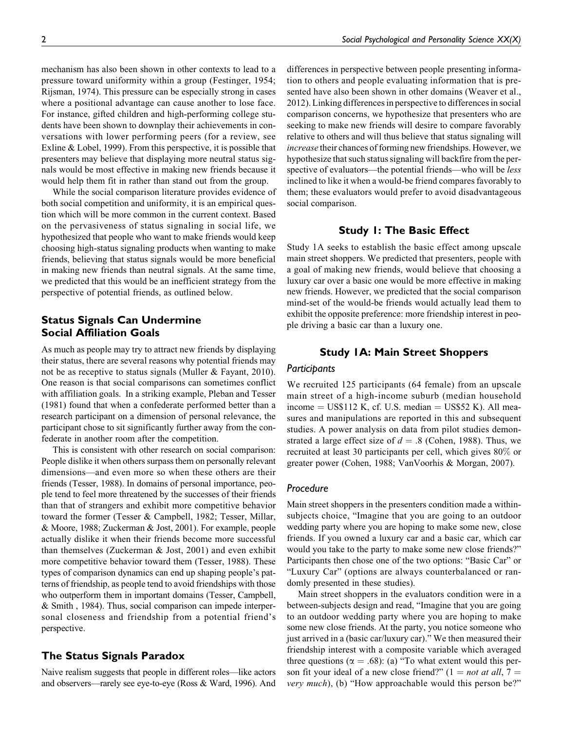mechanism has also been shown in other contexts to lead to a pressure toward uniformity within a group (Festinger, 1954; Rijsman, 1974). This pressure can be especially strong in cases where a positional advantage can cause another to lose face. For instance, gifted children and high-performing college students have been shown to downplay their achievements in conversations with lower performing peers (for a review, see Exline & Lobel, 1999). From this perspective, it is possible that presenters may believe that displaying more neutral status signals would be most effective in making new friends because it would help them fit in rather than stand out from the group.

While the social comparison literature provides evidence of both social competition and uniformity, it is an empirical question which will be more common in the current context. Based on the pervasiveness of status signaling in social life, we hypothesized that people who want to make friends would keep choosing high-status signaling products when wanting to make friends, believing that status signals would be more beneficial in making new friends than neutral signals. At the same time, we predicted that this would be an inefficient strategy from the perspective of potential friends, as outlined below.

# Status Signals Can Undermine Social Affiliation Goals

As much as people may try to attract new friends by displaying their status, there are several reasons why potential friends may not be as receptive to status signals (Muller & Fayant, 2010). One reason is that social comparisons can sometimes conflict with affiliation goals. In a striking example, Pleban and Tesser (1981) found that when a confederate performed better than a research participant on a dimension of personal relevance, the participant chose to sit significantly further away from the confederate in another room after the competition.

This is consistent with other research on social comparison: People dislike it when others surpass them on personally relevant dimensions—and even more so when these others are their friends (Tesser, 1988). In domains of personal importance, people tend to feel more threatened by the successes of their friends than that of strangers and exhibit more competitive behavior toward the former (Tesser & Campbell, 1982; Tesser, Millar, & Moore, 1988; Zuckerman & Jost, 2001). For example, people actually dislike it when their friends become more successful than themselves (Zuckerman & Jost, 2001) and even exhibit more competitive behavior toward them (Tesser, 1988). These types of comparison dynamics can end up shaping people's patterns of friendship, as people tend to avoid friendships with those who outperform them in important domains (Tesser, Campbell, & Smith , 1984). Thus, social comparison can impede interpersonal closeness and friendship from a potential friend's perspective.

# The Status Signals Paradox

Naive realism suggests that people in different roles—like actors and observers—rarely see eye-to-eye (Ross & Ward, 1996). And

differences in perspective between people presenting information to others and people evaluating information that is presented have also been shown in other domains (Weaver et al., 2012). Linking differences in perspective to differences in social comparison concerns, we hypothesize that presenters who are seeking to make new friends will desire to compare favorably relative to others and will thus believe that status signaling will increase their chances of forming new friendships. However, we hypothesize that such status signaling will backfire from the perspective of evaluators—the potential friends—who will be *less* inclined to like it when a would-be friend compares favorably to them; these evaluators would prefer to avoid disadvantageous social comparison.

# Study 1: The Basic Effect

Study 1A seeks to establish the basic effect among upscale main street shoppers. We predicted that presenters, people with a goal of making new friends, would believe that choosing a luxury car over a basic one would be more effective in making new friends. However, we predicted that the social comparison mind-set of the would-be friends would actually lead them to exhibit the opposite preference: more friendship interest in people driving a basic car than a luxury one.

# Study 1A: Main Street Shoppers

### **Participants**

We recruited 125 participants (64 female) from an upscale main street of a high-income suburb (median household  $income = US$112 K, cf. U.S. median = US$52 K. All mea$ sures and manipulations are reported in this and subsequent studies. A power analysis on data from pilot studies demonstrated a large effect size of  $d = .8$  (Cohen, 1988). Thus, we recruited at least 30 participants per cell, which gives 80% or greater power (Cohen, 1988; VanVoorhis & Morgan, 2007).

### Procedure

Main street shoppers in the presenters condition made a withinsubjects choice, "Imagine that you are going to an outdoor wedding party where you are hoping to make some new, close friends. If you owned a luxury car and a basic car, which car would you take to the party to make some new close friends?" Participants then chose one of the two options: "Basic Car" or "Luxury Car" (options are always counterbalanced or randomly presented in these studies).

Main street shoppers in the evaluators condition were in a between-subjects design and read, "Imagine that you are going to an outdoor wedding party where you are hoping to make some new close friends. At the party, you notice someone who just arrived in a (basic car/luxury car)." We then measured their friendship interest with a composite variable which averaged three questions ( $\alpha = .68$ ): (a) "To what extent would this person fit your ideal of a new close friend?" (1 = *not at all*, 7 = very much), (b) "How approachable would this person be?"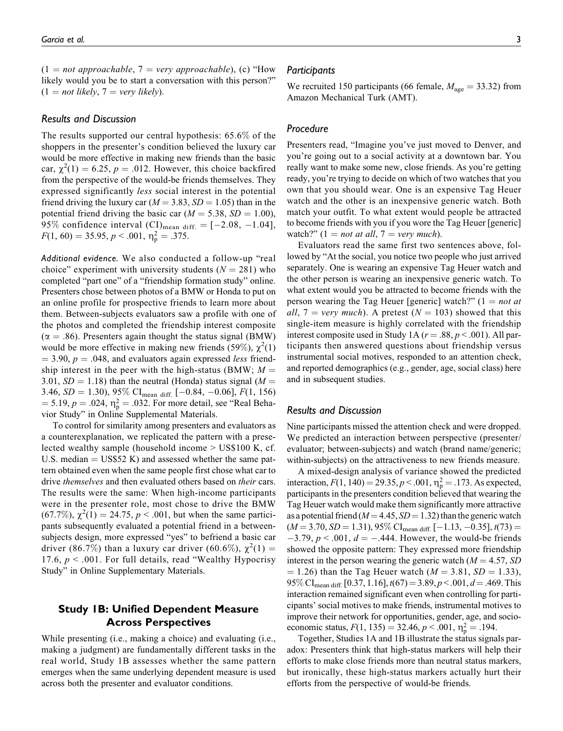$(1 = not approachable, 7 = very approachable), (c) "How$ likely would you be to start a conversation with this person?"  $(1 = not likely, 7 = very likely).$ 

#### Results and Discussion

The results supported our central hypothesis: 65.6% of the shoppers in the presenter's condition believed the luxury car would be more effective in making new friends than the basic car,  $\chi^2(1) = 6.25$ ,  $p = .012$ . However, this choice backfired from the perspective of the would-be friends themselves. They expressed significantly less social interest in the potential friend driving the luxury car ( $M = 3.83$ ,  $SD = 1.05$ ) than in the potential friend driving the basic car ( $M = 5.38$ ,  $SD = 1.00$ ), 95% confidence interval  $\text{(CI)}_{\text{mean diff.}} = [-2.08, -1.04],$  $F(1, 60) = 35.95, p < .001, \eta_{\rm p}^2 = .375.$ 

Additional evidence. We also conducted a follow-up "real choice" experiment with university students ( $N = 281$ ) who completed "part one" of a "friendship formation study" online. Presenters chose between photos of a BMW or Honda to put on an online profile for prospective friends to learn more about them. Between-subjects evaluators saw a profile with one of the photos and completed the friendship interest composite  $(\alpha = .86)$ . Presenters again thought the status signal (BMW) would be more effective in making new friends (59%),  $\chi^2(1)$  $=$  3.90,  $p = .048$ , and evaluators again expressed less friendship interest in the peer with the high-status (BMW;  $M =$ 3.01,  $SD = 1.18$ ) than the neutral (Honda) status signal ( $M =$ 3.46,  $SD = 1.30$ ), 95% CI<sub>mean diff.</sub> [-0.84, -0.06],  $F(1, 156)$  $= 5.19, p = .024, \eta_p^2 = .032$ . For more detail, see "Real Behavior Study" in Online Supplemental Materials.

To control for similarity among presenters and evaluators as a counterexplanation, we replicated the pattern with a preselected wealthy sample (household income > US\$100 K, cf. U.S. median  $=$  US\$52 K) and assessed whether the same pattern obtained even when the same people first chose what car to drive themselves and then evaluated others based on their cars. The results were the same: When high-income participants were in the presenter role, most chose to drive the BMW  $(67.7\%), \chi^2(1) = 24.75, p < .001$ , but when the same participants subsequently evaluated a potential friend in a betweensubjects design, more expressed "yes" to befriend a basic car driver (86.7%) than a luxury car driver (60.6%),  $\chi^2(1) =$ 17.6,  $p < .001$ . For full details, read "Wealthy Hypocrisy Study" in Online Supplementary Materials.

# Study 1B: Unified Dependent Measure Across Perspectives

While presenting (i.e., making a choice) and evaluating (i.e., making a judgment) are fundamentally different tasks in the real world, Study 1B assesses whether the same pattern emerges when the same underlying dependent measure is used across both the presenter and evaluator conditions.

#### **Participants**

We recruited 150 participants (66 female,  $M_{\text{age}} = 33.32$ ) from Amazon Mechanical Turk (AMT).

# Procedure

Presenters read, "Imagine you've just moved to Denver, and you're going out to a social activity at a downtown bar. You really want to make some new, close friends. As you're getting ready, you're trying to decide on which of two watches that you own that you should wear. One is an expensive Tag Heuer watch and the other is an inexpensive generic watch. Both match your outfit. To what extent would people be attracted to become friends with you if you wore the Tag Heuer [generic] watch?"  $(1 = not at all, 7 = very much).$ 

Evaluators read the same first two sentences above, followed by "At the social, you notice two people who just arrived separately. One is wearing an expensive Tag Heuer watch and the other person is wearing an inexpensive generic watch. To what extent would you be attracted to become friends with the person wearing the Tag Heuer [generic] watch?"  $(1 = not at$ all,  $7 = very \, much$ ). A pretest ( $N = 103$ ) showed that this single-item measure is highly correlated with the friendship interest composite used in Study 1A ( $r = .88$ ,  $p < .001$ ). All participants then answered questions about friendship versus instrumental social motives, responded to an attention check, and reported demographics (e.g., gender, age, social class) here and in subsequent studies.

### Results and Discussion

Nine participants missed the attention check and were dropped. We predicted an interaction between perspective (presenter/ evaluator; between-subjects) and watch (brand name/generic; within-subjects) on the attractiveness to new friends measure.

A mixed-design analysis of variance showed the predicted interaction,  $F(1, 140) = 29.35, p < .001, \eta_{p}^{2} = .173$ . As expected, participants in the presenters condition believed that wearing the Tag Heuer watch would make them significantly more attractive as a potential friend ( $M = 4.45$ ,  $SD = 1.32$ ) than the generic watch  $(M = 3.70, SD = 1.31), 95\%$  CI<sub>mean diff.</sub>  $[-1.13, -0.35], t(73) =$  $-3.79, p < .001, d = -.444$ . However, the would-be friends showed the opposite pattern: They expressed more friendship interest in the person wearing the generic watch  $(M = 4.57, SD)$  $(1.26)$  than the Tag Heuer watch ( $M = 3.81$ ,  $SD = 1.33$ ), 95% CI<sub>mean diff.</sub> [0.37, 1.16],  $t(67) = 3.89, p < .001, d = .469$ . This interaction remained significant even when controlling for participants' social motives to make friends, instrumental motives to improve their network for opportunities, gender, age, and socioeconomic status,  $F(1, 135) = 32.46, p < .001, \eta_{\rm p}^2 = .194$ .

Together, Studies 1A and 1B illustrate the status signals paradox: Presenters think that high-status markers will help their efforts to make close friends more than neutral status markers, but ironically, these high-status markers actually hurt their efforts from the perspective of would-be friends.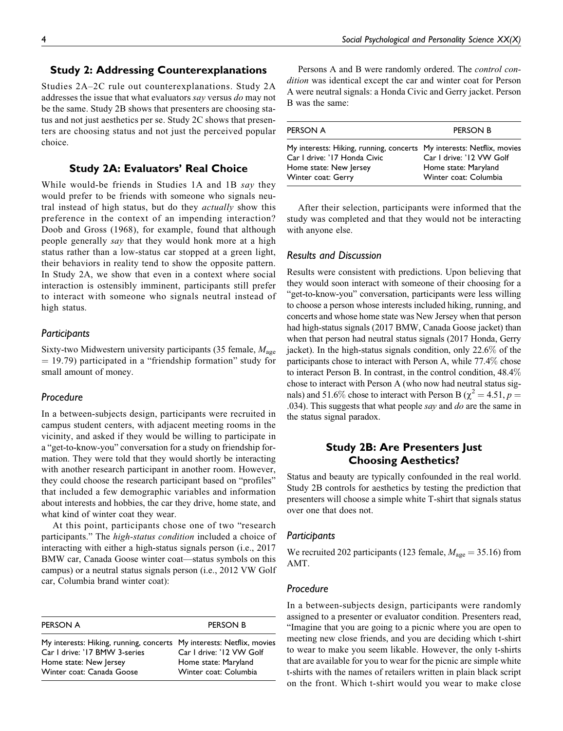### Study 2: Addressing Counterexplanations

Studies 2A–2C rule out counterexplanations. Study 2A addresses the issue that what evaluators say versus do may not be the same. Study 2B shows that presenters are choosing status and not just aesthetics per se. Study 2C shows that presenters are choosing status and not just the perceived popular choice.

# Study 2A: Evaluators' Real Choice

While would-be friends in Studies 1A and 1B say they would prefer to be friends with someone who signals neutral instead of high status, but do they *actually* show this preference in the context of an impending interaction? Doob and Gross (1968), for example, found that although people generally say that they would honk more at a high status rather than a low-status car stopped at a green light, their behaviors in reality tend to show the opposite pattern. In Study 2A, we show that even in a context where social interaction is ostensibly imminent, participants still prefer to interact with someone who signals neutral instead of high status.

#### **Participants**

Sixty-two Midwestern university participants (35 female,  $M_{\text{age}}$  $=$  19.79) participated in a "friendship formation" study for small amount of money.

#### Procedure

In a between-subjects design, participants were recruited in campus student centers, with adjacent meeting rooms in the vicinity, and asked if they would be willing to participate in a "get-to-know-you" conversation for a study on friendship formation. They were told that they would shortly be interacting with another research participant in another room. However, they could choose the research participant based on "profiles" that included a few demographic variables and information about interests and hobbies, the car they drive, home state, and what kind of winter coat they wear.

At this point, participants chose one of two "research participants." The high-status condition included a choice of interacting with either a high-status signals person (i.e., 2017 BMW car, Canada Goose winter coat—status symbols on this campus) or a neutral status signals person (i.e., 2012 VW Golf car, Columbia brand winter coat):

| PERSON A                                                                                                                                                      | <b>PERSON B</b>                                                           |
|---------------------------------------------------------------------------------------------------------------------------------------------------------------|---------------------------------------------------------------------------|
| My interests: Hiking, running, concerts My interests: Netflix, movies<br>Car I drive: '17 BMW 3-series<br>Home state: New Jersey<br>Winter coat: Canada Goose | Car I drive: '12 VW Golf<br>Home state: Maryland<br>Winter coat: Columbia |

Persons A and B were randomly ordered. The *control con*dition was identical except the car and winter coat for Person A were neutral signals: a Honda Civic and Gerry jacket. Person B was the same:

| PERSON A                                                                                                                                              | PERSON B                                                                  |
|-------------------------------------------------------------------------------------------------------------------------------------------------------|---------------------------------------------------------------------------|
| My interests: Hiking, running, concerts My interests: Netflix, movies<br>Car I drive: '17 Honda Civic<br>Home state: New Jersey<br>Winter coat: Gerry | Car I drive: '12 VW Golf<br>Home state: Maryland<br>Winter coat: Columbia |

After their selection, participants were informed that the study was completed and that they would not be interacting with anyone else.

#### Results and Discussion

Results were consistent with predictions. Upon believing that they would soon interact with someone of their choosing for a "get-to-know-you" conversation, participants were less willing to choose a person whose interests included hiking, running, and concerts and whose home state was New Jersey when that person had high-status signals (2017 BMW, Canada Goose jacket) than when that person had neutral status signals (2017 Honda, Gerry jacket). In the high-status signals condition, only 22.6% of the participants chose to interact with Person A, while 77.4% chose to interact Person B. In contrast, in the control condition, 48.4% chose to interact with Person A (who now had neutral status signals) and 51.6% chose to interact with Person B ( $\chi^2 = 4.51$ ,  $p =$ .034). This suggests that what people say and do are the same in the status signal paradox.

# Study 2B: Are Presenters Just Choosing Aesthetics?

Status and beauty are typically confounded in the real world. Study 2B controls for aesthetics by testing the prediction that presenters will choose a simple white T-shirt that signals status over one that does not.

#### **Participants**

We recruited 202 participants (123 female,  $M_{\text{age}} = 35.16$ ) from AMT.

## Procedure

In a between-subjects design, participants were randomly assigned to a presenter or evaluator condition. Presenters read, "Imagine that you are going to a picnic where you are open to meeting new close friends, and you are deciding which t-shirt to wear to make you seem likable. However, the only t-shirts that are available for you to wear for the picnic are simple white t-shirts with the names of retailers written in plain black script on the front. Which t-shirt would you wear to make close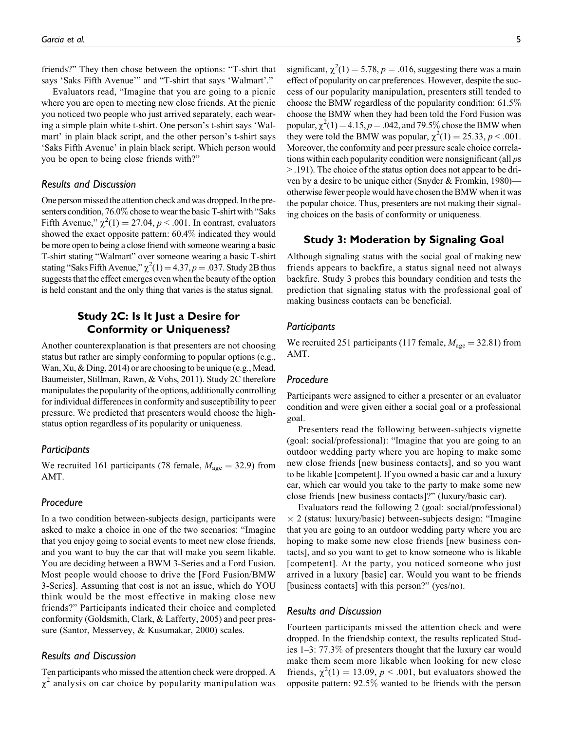friends?" They then chose between the options: "T-shirt that says 'Saks Fifth Avenue'" and "T-shirt that says 'Walmart'."

Evaluators read, "Imagine that you are going to a picnic where you are open to meeting new close friends. At the picnic you noticed two people who just arrived separately, each wearing a simple plain white t-shirt. One person's t-shirt says 'Walmart' in plain black script, and the other person's t-shirt says 'Saks Fifth Avenue' in plain black script. Which person would you be open to being close friends with?"

### Results and Discussion

One person missed the attention check and was dropped. In the presenters condition, 76.0% chose to wear the basic T-shirt with "Saks Fifth Avenue,"  $\chi^2(1) = 27.04$ ,  $p < .001$ . In contrast, evaluators showed the exact opposite pattern: 60.4% indicated they would be more open to being a close friend with someone wearing a basic T-shirt stating "Walmart" over someone wearing a basic T-shirt stating "Saks Fifth Avenue,"  $\chi^2(1) = 4.37, p = .037$ . Study 2B thus suggests that the effect emerges even when the beauty of the option is held constant and the only thing that varies is the status signal.

# Study 2C: Is It Just a Desire for Conformity or Uniqueness?

Another counterexplanation is that presenters are not choosing status but rather are simply conforming to popular options (e.g., Wan, Xu, & Ding, 2014) or are choosing to be unique (e.g., Mead, Baumeister, Stillman, Rawn, & Vohs, 2011). Study 2C therefore manipulates the popularity of the options, additionally controlling for individual differences in conformity and susceptibility to peer pressure. We predicted that presenters would choose the highstatus option regardless of its popularity or uniqueness.

#### Participants

We recruited 161 participants (78 female,  $M_{\text{age}} = 32.9$ ) from AMT.

### Procedure

In a two condition between-subjects design, participants were asked to make a choice in one of the two scenarios: "Imagine that you enjoy going to social events to meet new close friends, and you want to buy the car that will make you seem likable. You are deciding between a BWM 3-Series and a Ford Fusion. Most people would choose to drive the [Ford Fusion/BMW 3-Series]. Assuming that cost is not an issue, which do YOU think would be the most effective in making close new friends?" Participants indicated their choice and completed conformity (Goldsmith, Clark, & Lafferty, 2005) and peer pressure (Santor, Messervey, & Kusumakar, 2000) scales.

## Results and Discussion

Ten participants who missed the attention check were dropped. A  $\chi^2$  analysis on car choice by popularity manipulation was

significant,  $\chi^2(1) = 5.78$ ,  $p = .016$ , suggesting there was a main effect of popularity on car preferences. However, despite the success of our popularity manipulation, presenters still tended to choose the BMW regardless of the popularity condition: 61.5% choose the BMW when they had been told the Ford Fusion was popular,  $\chi^2(1) = 4.15, p = .042$ , and 79.5% chose the BMW when they were told the BMW was popular,  $\chi^2(1) = 25.33, p < .001$ . Moreover, the conformity and peer pressure scale choice correlations within each popularity condition were nonsignificant (all  $p$ s > .191). The choice of the status option does not appear to be driven by a desire to be unique either (Snyder & Fromkin, 1980) otherwise fewer people would have chosen the BMW when it was the popular choice. Thus, presenters are not making their signaling choices on the basis of conformity or uniqueness.

# Study 3: Moderation by Signaling Goal

Although signaling status with the social goal of making new friends appears to backfire, a status signal need not always backfire. Study 3 probes this boundary condition and tests the prediction that signaling status with the professional goal of making business contacts can be beneficial.

#### **Participants**

We recruited 251 participants (117 female,  $M_{\text{age}} = 32.81$ ) from AMT.

### Procedure

Participants were assigned to either a presenter or an evaluator condition and were given either a social goal or a professional goal.

Presenters read the following between-subjects vignette (goal: social/professional): "Imagine that you are going to an outdoor wedding party where you are hoping to make some new close friends [new business contacts], and so you want to be likable [competent]. If you owned a basic car and a luxury car, which car would you take to the party to make some new close friends [new business contacts]?" (luxury/basic car).

Evaluators read the following 2 (goal: social/professional)  $\times$  2 (status: luxury/basic) between-subjects design: "Imagine that you are going to an outdoor wedding party where you are hoping to make some new close friends [new business contacts], and so you want to get to know someone who is likable [competent]. At the party, you noticed someone who just arrived in a luxury [basic] car. Would you want to be friends [business contacts] with this person?" (yes/no).

#### Results and Discussion

Fourteen participants missed the attention check and were dropped. In the friendship context, the results replicated Studies 1–3: 77.3% of presenters thought that the luxury car would make them seem more likable when looking for new close friends,  $\chi^2(1) = 13.09$ ,  $p < .001$ , but evaluators showed the opposite pattern: 92.5% wanted to be friends with the person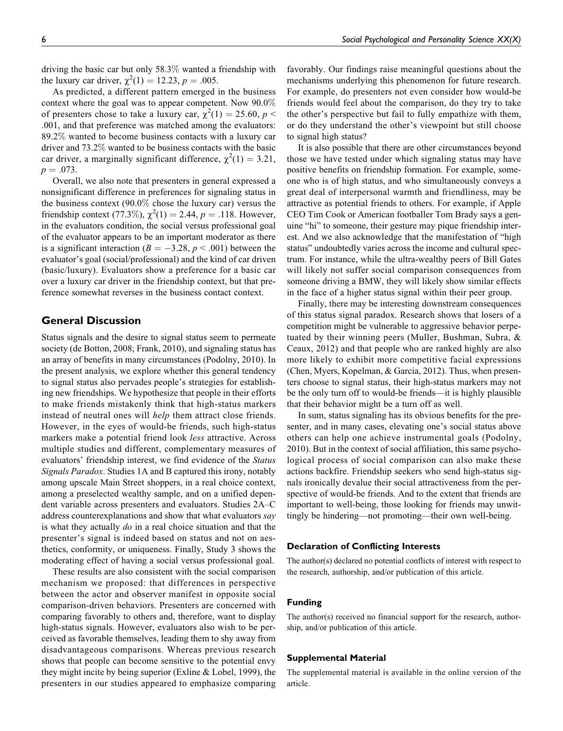driving the basic car but only 58.3% wanted a friendship with the luxury car driver,  $\chi^2(1) = 12.23, p = .005$ .

As predicted, a different pattern emerged in the business context where the goal was to appear competent. Now 90.0% of presenters chose to take a luxury car,  $\chi^2(1) = 25.60, p <$ .001, and that preference was matched among the evaluators: 89.2% wanted to become business contacts with a luxury car driver and 73.2% wanted to be business contacts with the basic car driver, a marginally significant difference,  $\chi^2(1) = 3.21$ ,  $p = .073$ .

Overall, we also note that presenters in general expressed a nonsignificant difference in preferences for signaling status in the business context (90.0% chose the luxury car) versus the friendship context (77.3%),  $\chi^2(1) = 2.44$ ,  $p = .118$ . However, in the evaluators condition, the social versus professional goal of the evaluator appears to be an important moderator as there is a significant interaction ( $B = -3.28$ ,  $p < .001$ ) between the evaluator's goal (social/professional) and the kind of car driven (basic/luxury). Evaluators show a preference for a basic car over a luxury car driver in the friendship context, but that preference somewhat reverses in the business contact context.

## General Discussion

Status signals and the desire to signal status seem to permeate society (de Botton, 2008; Frank, 2010), and signaling status has an array of benefits in many circumstances (Podolny, 2010). In the present analysis, we explore whether this general tendency to signal status also pervades people's strategies for establishing new friendships. We hypothesize that people in their efforts to make friends mistakenly think that high-status markers instead of neutral ones will *help* them attract close friends. However, in the eyes of would-be friends, such high-status markers make a potential friend look *less* attractive. Across multiple studies and different, complementary measures of evaluators' friendship interest, we find evidence of the Status Signals Paradox. Studies 1A and B captured this irony, notably among upscale Main Street shoppers, in a real choice context, among a preselected wealthy sample, and on a unified dependent variable across presenters and evaluators. Studies 2A–C address counterexplanations and show that what evaluators say is what they actually do in a real choice situation and that the presenter's signal is indeed based on status and not on aesthetics, conformity, or uniqueness. Finally, Study 3 shows the moderating effect of having a social versus professional goal.

These results are also consistent with the social comparison mechanism we proposed: that differences in perspective between the actor and observer manifest in opposite social comparison-driven behaviors. Presenters are concerned with comparing favorably to others and, therefore, want to display high-status signals. However, evaluators also wish to be perceived as favorable themselves, leading them to shy away from disadvantageous comparisons. Whereas previous research shows that people can become sensitive to the potential envy they might incite by being superior (Exline & Lobel, 1999), the presenters in our studies appeared to emphasize comparing

favorably. Our findings raise meaningful questions about the mechanisms underlying this phenomenon for future research. For example, do presenters not even consider how would-be friends would feel about the comparison, do they try to take the other's perspective but fail to fully empathize with them, or do they understand the other's viewpoint but still choose to signal high status?

It is also possible that there are other circumstances beyond those we have tested under which signaling status may have positive benefits on friendship formation. For example, someone who is of high status, and who simultaneously conveys a great deal of interpersonal warmth and friendliness, may be attractive as potential friends to others. For example, if Apple CEO Tim Cook or American footballer Tom Brady says a genuine "hi" to someone, their gesture may pique friendship interest. And we also acknowledge that the manifestation of "high status" undoubtedly varies across the income and cultural spectrum. For instance, while the ultra-wealthy peers of Bill Gates will likely not suffer social comparison consequences from someone driving a BMW, they will likely show similar effects in the face of a higher status signal within their peer group.

Finally, there may be interesting downstream consequences of this status signal paradox. Research shows that losers of a competition might be vulnerable to aggressive behavior perpetuated by their winning peers (Muller, Bushman, Subra, & Ceaux, 2012) and that people who are ranked highly are also more likely to exhibit more competitive facial expressions (Chen, Myers, Kopelman, & Garcia, 2012). Thus, when presenters choose to signal status, their high-status markers may not be the only turn off to would-be friends—it is highly plausible that their behavior might be a turn off as well.

In sum, status signaling has its obvious benefits for the presenter, and in many cases, elevating one's social status above others can help one achieve instrumental goals (Podolny, 2010). But in the context of social affiliation, this same psychological process of social comparison can also make these actions backfire. Friendship seekers who send high-status signals ironically devalue their social attractiveness from the perspective of would-be friends. And to the extent that friends are important to well-being, those looking for friends may unwittingly be hindering—not promoting—their own well-being.

#### Declaration of Conflicting Interests

The author(s) declared no potential conflicts of interest with respect to the research, authorship, and/or publication of this article.

#### Funding

The author(s) received no financial support for the research, authorship, and/or publication of this article.

#### Supplemental Material

The supplemental material is available in the online version of the article.